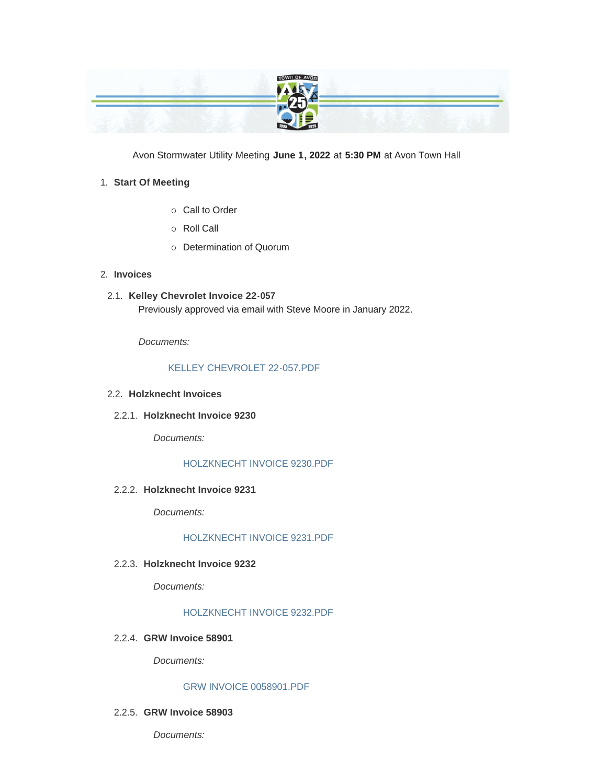

Avon Stormwater Utility Meeting **June 1, 2022** at **5:30 PM** at Avon Town Hall

# **Start Of Meeting** 1.

- o Call to Order
- o Roll Call
- o Determination of Quorum
- **Invoices** 2.
- **Kelley Chevrolet Invoice 22-057** 2.1. Previously approved via email with Steve Moore in January 2022.

*Documents:*

# [KELLEY CHEVROLET 22-057.PDF](https://www.avongov.org/AgendaCenter/ViewFile/Item/501?fileID=364)

# **Holzknecht Invoices** 2.2.

**Holzknecht Invoice 9230** 2.2.1.

*Documents:*

# [HOLZKNECHT INVOICE 9230.PDF](https://www.avongov.org/AgendaCenter/ViewFile/Item/549?fileID=397)

**Holzknecht Invoice 9231** 2.2.2.

*Documents:*

#### [HOLZKNECHT INVOICE 9231.PDF](https://www.avongov.org/AgendaCenter/ViewFile/Item/550?fileID=398)

# **Holzknecht Invoice 9232** 2.2.3.

*Documents:*

#### [HOLZKNECHT INVOICE 9232.PDF](https://www.avongov.org/AgendaCenter/ViewFile/Item/551?fileID=399)

**GRW Invoice 58901** 2.2.4.

*Documents:*

# [GRW INVOICE 0058901.PDF](https://www.avongov.org/AgendaCenter/ViewFile/Item/618?fileID=430)

#### **GRW Invoice 58903** 2.2.5.

*Documents:*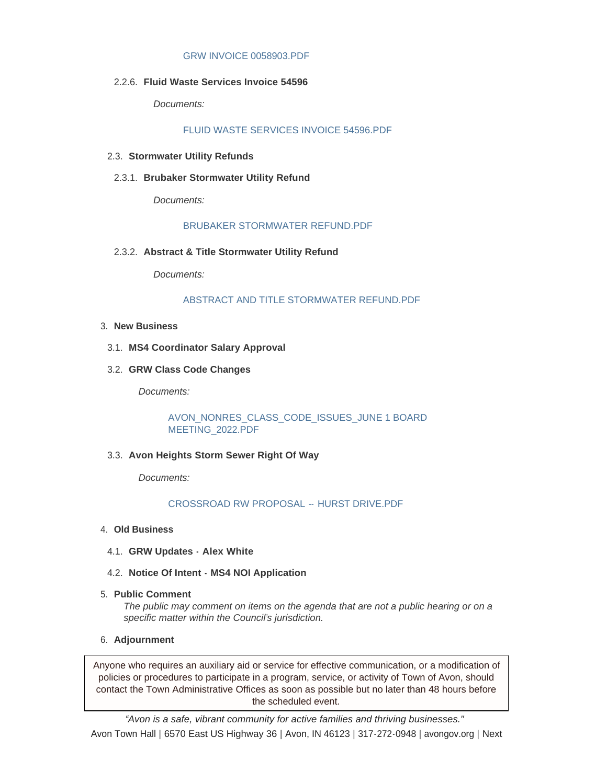#### [GRW INVOICE 0058903.PDF](https://www.avongov.org/AgendaCenter/ViewFile/Item/619?fileID=431)

**Fluid Waste Services Invoice 54596** 2.2.6.

*Documents:*

[FLUID WASTE SERVICES INVOICE 54596.PDF](https://www.avongov.org/AgendaCenter/ViewFile/Item/620?fileID=432)

- **Stormwater Utility Refunds** 2.3.
- **Brubaker Stormwater Utility Refund** 2.3.1.

*Documents:*

#### [BRUBAKER STORMWATER REFUND.PDF](https://www.avongov.org/AgendaCenter/ViewFile/Item/552?fileID=400)

**Abstract & Title Stormwater Utility Refund** 2.3.2.

*Documents:*

#### [ABSTRACT AND TITLE STORMWATER REFUND.PDF](https://www.avongov.org/AgendaCenter/ViewFile/Item/553?fileID=401)

- **New Business** 3.
- **MS4 Coordinator Salary Approval** 3.1.
- **GRW Class Code Changes** 3.2.

*Documents:*

[AVON\\_NONRES\\_CLASS\\_CODE\\_ISSUES\\_JUNE 1 BOARD](https://www.avongov.org/AgendaCenter/ViewFile/Item/617?fileID=429)  MEETING\_2022.PDF

**Avon Heights Storm Sewer Right Of Way** 3.3.

*Documents:*

# [CROSSROAD RW PROPOSAL --](https://www.avongov.org/AgendaCenter/ViewFile/Item/621?fileID=433) HURST DRIVE.PDF

- **Old Business** 4.
	- **GRW Updates - Alex White** 4.1.
	- **Notice Of Intent - MS4 NOI Application** 4.2.
- **Public Comment** 5.

*The public may comment on items on the agenda that are not a public hearing or on a specific matter within the Council's jurisdiction.*

**Adjournment** 6.

Anyone who requires an auxiliary aid or service for effective communication, or a modification of policies or procedures to participate in a program, service, or activity of Town of Avon, should contact the Town Administrative Offices as soon as possible but no later than 48 hours before the scheduled event.

*"Avon is a safe, vibrant community for active families and thriving businesses."* Avon Town Hall **|** 6570 East US Highway 36 **|** Avon, IN 46123 **|** 317-272-0948 **|** avongov.org **|** Next